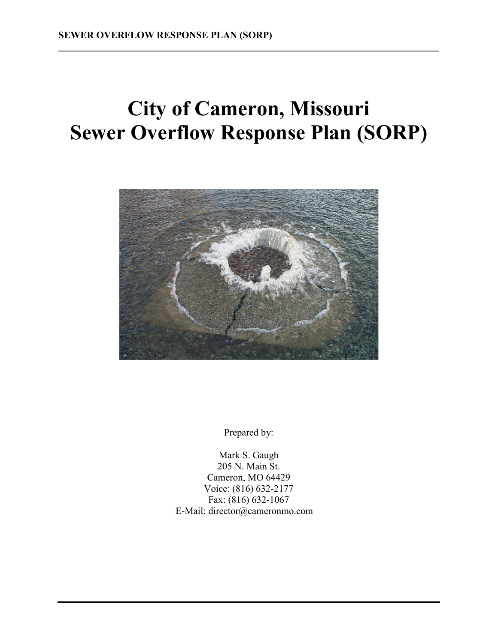# **City of Cameron, Missouri Sewer Overflow Response Plan (SORP)**

**\_\_\_\_\_\_\_\_\_\_\_\_\_\_\_\_\_\_\_\_\_\_\_\_\_\_\_\_\_\_\_\_\_\_\_\_\_\_\_\_\_\_\_\_\_\_\_\_\_\_\_\_\_\_\_\_\_\_\_\_\_\_\_\_\_\_\_\_\_\_\_\_\_\_\_\_\_\_** 



Prepared by:

Mark S. Gaugh 205 N. Main St. Cameron, MO 64429 Voice: (816) 632-2177 Fax: (816) 632-1067 E-Mail: director@cameronmo.com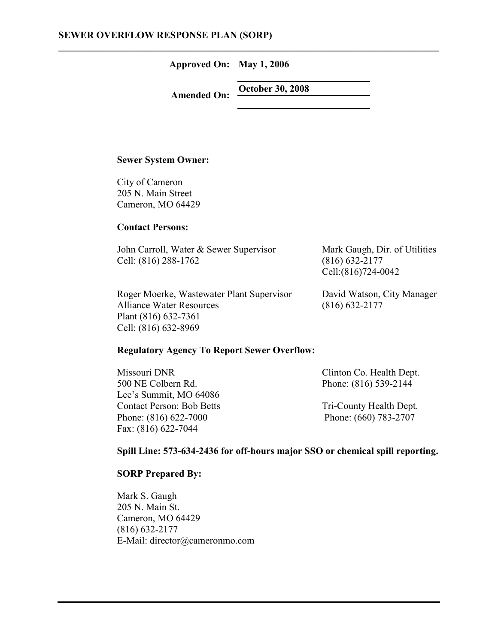**Approved On: May 1, 2006** 

**\_\_\_\_\_\_\_\_\_\_\_\_\_\_\_\_\_\_\_\_\_\_\_\_\_\_\_\_\_\_\_\_\_\_\_\_\_\_\_\_\_\_\_\_\_\_\_\_\_\_\_\_\_\_\_\_\_\_\_\_\_\_\_\_\_\_\_\_\_\_\_\_\_\_\_\_\_\_** 

**Amended On: October 30, 2008** 

#### **Sewer System Owner:**

City of Cameron 205 N. Main Street Cameron, MO 64429

### **Contact Persons:**

| John Carroll, Water & Sewer Supervisor | Mark Gaugh, Dir. of Utilities |
|----------------------------------------|-------------------------------|
| Cell: (816) 288-1762                   | $(816)$ 632-2177              |
|                                        | Cell: (816) 724-0042          |

| Roger Moerke, Wastewater Plant Supervisor | David Watson, City Manager |
|-------------------------------------------|----------------------------|
| <b>Alliance Water Resources</b>           | $(816)$ 632-2177           |
| Plant (816) 632-7361                      |                            |
| Cell: (816) 632-8969                      |                            |

### **Regulatory Agency To Report Sewer Overflow:**

| Missouri DNR                     | Clinton Co. Health Dept. |
|----------------------------------|--------------------------|
| 500 NE Colbern Rd.               | Phone: (816) 539-2144    |
| Lee's Summit, MO 64086           |                          |
| <b>Contact Person: Bob Betts</b> | Tri-County Health Dept.  |
| Phone: (816) 622-7000            | Phone: (660) 783-2707    |
| Fax: (816) 622-7044              |                          |

### **Spill Line: 573-634-2436 for off-hours major SSO or chemical spill reporting.**

### **SORP Prepared By:**

Mark S. Gaugh 205 N. Main St. Cameron, MO 64429 (816) 632-2177 E-Mail: director@cameronmo.com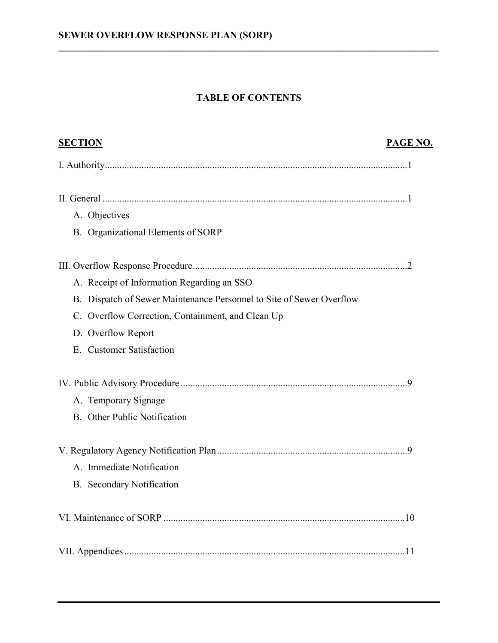### **TABLE OF CONTENTS**

| <b>SECTION</b>                                                       | PAGE NO. |
|----------------------------------------------------------------------|----------|
|                                                                      |          |
|                                                                      |          |
| A. Objectives                                                        |          |
| B. Organizational Elements of SORP                                   |          |
|                                                                      |          |
| A. Receipt of Information Regarding an SSO                           |          |
| B. Dispatch of Sewer Maintenance Personnel to Site of Sewer Overflow |          |
| C. Overflow Correction, Containment, and Clean Up                    |          |
| D. Overflow Report                                                   |          |
| E. Customer Satisfaction                                             |          |
|                                                                      |          |
| A. Temporary Signage                                                 |          |
| B. Other Public Notification                                         |          |
|                                                                      |          |
| A. Immediate Notification                                            |          |
| B. Secondary Notification                                            |          |
|                                                                      |          |
|                                                                      |          |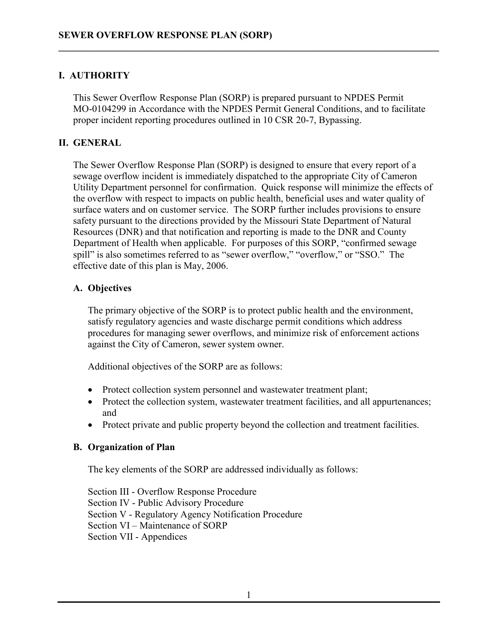### **I. AUTHORITY**

This Sewer Overflow Response Plan (SORP) is prepared pursuant to NPDES Permit MO-0104299 in Accordance with the NPDES Permit General Conditions, and to facilitate proper incident reporting procedures outlined in 10 CSR 20-7, Bypassing.

**\_\_\_\_\_\_\_\_\_\_\_\_\_\_\_\_\_\_\_\_\_\_\_\_\_\_\_\_\_\_\_\_\_\_\_\_\_\_\_\_\_\_\_\_\_\_\_\_\_\_\_\_\_\_\_\_\_\_\_\_\_\_\_\_\_\_\_\_\_\_\_\_\_\_\_\_\_\_** 

### **II. GENERAL**

The Sewer Overflow Response Plan (SORP) is designed to ensure that every report of a sewage overflow incident is immediately dispatched to the appropriate City of Cameron Utility Department personnel for confirmation. Quick response will minimize the effects of the overflow with respect to impacts on public health, beneficial uses and water quality of surface waters and on customer service. The SORP further includes provisions to ensure safety pursuant to the directions provided by the Missouri State Department of Natural Resources (DNR) and that notification and reporting is made to the DNR and County Department of Health when applicable. For purposes of this SORP, "confirmed sewage spill" is also sometimes referred to as "sewer overflow," "overflow," or "SSO." The effective date of this plan is May, 2006.

### **A. Objectives**

The primary objective of the SORP is to protect public health and the environment, satisfy regulatory agencies and waste discharge permit conditions which address procedures for managing sewer overflows, and minimize risk of enforcement actions against the City of Cameron, sewer system owner.

Additional objectives of the SORP are as follows:

- Protect collection system personnel and wastewater treatment plant;
- Protect the collection system, wastewater treatment facilities, and all appurtenances; and
- Protect private and public property beyond the collection and treatment facilities.

### **B. Organization of Plan**

The key elements of the SORP are addressed individually as follows:

 Section III - Overflow Response Procedure Section IV - Public Advisory Procedure Section V - Regulatory Agency Notification Procedure Section VI – Maintenance of SORP Section VII - Appendices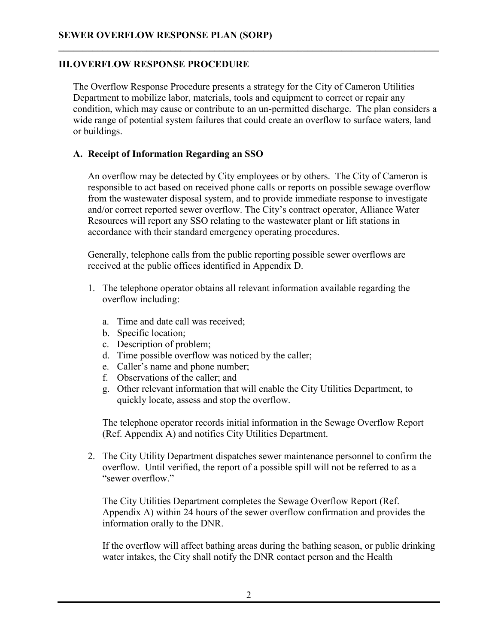### **III.OVERFLOW RESPONSE PROCEDURE**

The Overflow Response Procedure presents a strategy for the City of Cameron Utilities Department to mobilize labor, materials, tools and equipment to correct or repair any condition, which may cause or contribute to an un-permitted discharge. The plan considers a wide range of potential system failures that could create an overflow to surface waters, land or buildings.

**\_\_\_\_\_\_\_\_\_\_\_\_\_\_\_\_\_\_\_\_\_\_\_\_\_\_\_\_\_\_\_\_\_\_\_\_\_\_\_\_\_\_\_\_\_\_\_\_\_\_\_\_\_\_\_\_\_\_\_\_\_\_\_\_\_\_\_\_\_\_\_\_\_\_\_\_\_\_** 

### **A. Receipt of Information Regarding an SSO**

An overflow may be detected by City employees or by others. The City of Cameron is responsible to act based on received phone calls or reports on possible sewage overflow from the wastewater disposal system, and to provide immediate response to investigate and/or correct reported sewer overflow. The City's contract operator, Alliance Water Resources will report any SSO relating to the wastewater plant or lift stations in accordance with their standard emergency operating procedures.

Generally, telephone calls from the public reporting possible sewer overflows are received at the public offices identified in Appendix D.

- 1. The telephone operator obtains all relevant information available regarding the overflow including:
	- a. Time and date call was received;
	- b. Specific location;
	- c. Description of problem;
	- d. Time possible overflow was noticed by the caller;
	- e. Caller's name and phone number;
	- f. Observations of the caller; and
	- g. Other relevant information that will enable the City Utilities Department, to quickly locate, assess and stop the overflow.

The telephone operator records initial information in the Sewage Overflow Report (Ref. Appendix A) and notifies City Utilities Department.

 2. The City Utility Department dispatches sewer maintenance personnel to confirm the overflow. Until verified, the report of a possible spill will not be referred to as a "sewer overflow."

The City Utilities Department completes the Sewage Overflow Report (Ref. Appendix A) within 24 hours of the sewer overflow confirmation and provides the information orally to the DNR.

If the overflow will affect bathing areas during the bathing season, or public drinking water intakes, the City shall notify the DNR contact person and the Health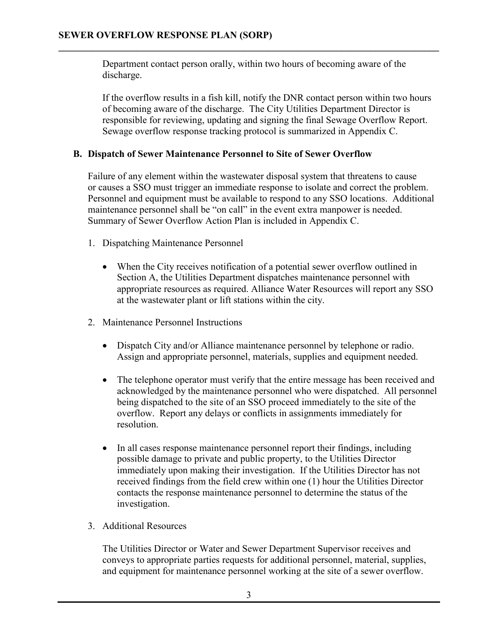Department contact person orally, within two hours of becoming aware of the discharge.

**\_\_\_\_\_\_\_\_\_\_\_\_\_\_\_\_\_\_\_\_\_\_\_\_\_\_\_\_\_\_\_\_\_\_\_\_\_\_\_\_\_\_\_\_\_\_\_\_\_\_\_\_\_\_\_\_\_\_\_\_\_\_\_\_\_\_\_\_\_\_\_\_\_\_\_\_\_\_** 

If the overflow results in a fish kill, notify the DNR contact person within two hours of becoming aware of the discharge. The City Utilities Department Director is responsible for reviewing, updating and signing the final Sewage Overflow Report. Sewage overflow response tracking protocol is summarized in Appendix C.

### **B. Dispatch of Sewer Maintenance Personnel to Site of Sewer Overflow**

Failure of any element within the wastewater disposal system that threatens to cause or causes a SSO must trigger an immediate response to isolate and correct the problem. Personnel and equipment must be available to respond to any SSO locations. Additional maintenance personnel shall be "on call" in the event extra manpower is needed. Summary of Sewer Overflow Action Plan is included in Appendix C.

- 1. Dispatching Maintenance Personnel
	- When the City receives notification of a potential sewer overflow outlined in Section A, the Utilities Department dispatches maintenance personnel with appropriate resources as required. Alliance Water Resources will report any SSO at the wastewater plant or lift stations within the city.
- 2. Maintenance Personnel Instructions
	- Dispatch City and/or Alliance maintenance personnel by telephone or radio. Assign and appropriate personnel, materials, supplies and equipment needed.
	- The telephone operator must verify that the entire message has been received and acknowledged by the maintenance personnel who were dispatched. All personnel being dispatched to the site of an SSO proceed immediately to the site of the overflow. Report any delays or conflicts in assignments immediately for resolution.
	- In all cases response maintenance personnel report their findings, including possible damage to private and public property, to the Utilities Director immediately upon making their investigation. If the Utilities Director has not received findings from the field crew within one (1) hour the Utilities Director contacts the response maintenance personnel to determine the status of the investigation.
- 3. Additional Resources

The Utilities Director or Water and Sewer Department Supervisor receives and conveys to appropriate parties requests for additional personnel, material, supplies, and equipment for maintenance personnel working at the site of a sewer overflow.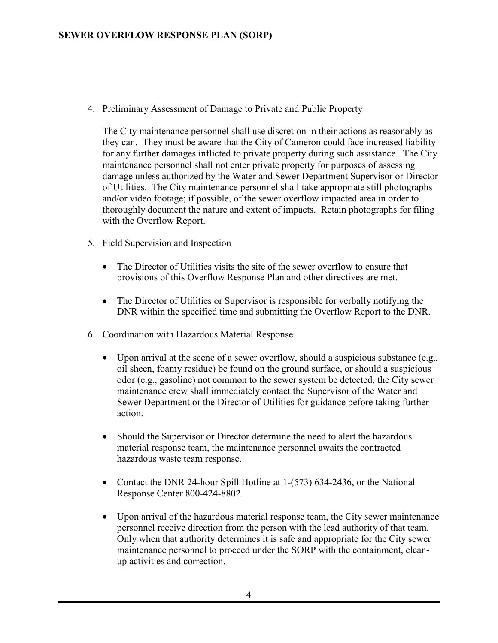4. Preliminary Assessment of Damage to Private and Public Property

**\_\_\_\_\_\_\_\_\_\_\_\_\_\_\_\_\_\_\_\_\_\_\_\_\_\_\_\_\_\_\_\_\_\_\_\_\_\_\_\_\_\_\_\_\_\_\_\_\_\_\_\_\_\_\_\_\_\_\_\_\_\_\_\_\_\_\_\_\_\_\_\_\_\_\_\_\_\_** 

The City maintenance personnel shall use discretion in their actions as reasonably as they can. They must be aware that the City of Cameron could face increased liability for any further damages inflicted to private property during such assistance. The City maintenance personnel shall not enter private property for purposes of assessing damage unless authorized by the Water and Sewer Department Supervisor or Director of Utilities. The City maintenance personnel shall take appropriate still photographs and/or video footage; if possible, of the sewer overflow impacted area in order to thoroughly document the nature and extent of impacts. Retain photographs for filing with the Overflow Report.

- 5. Field Supervision and Inspection
	- The Director of Utilities visits the site of the sewer overflow to ensure that provisions of this Overflow Response Plan and other directives are met.
	- The Director of Utilities or Supervisor is responsible for verbally notifying the DNR within the specified time and submitting the Overflow Report to the DNR.
- 6. Coordination with Hazardous Material Response
	- Upon arrival at the scene of a sewer overflow, should a suspicious substance (e.g., oil sheen, foamy residue) be found on the ground surface, or should a suspicious odor (e.g., gasoline) not common to the sewer system be detected, the City sewer maintenance crew shall immediately contact the Supervisor of the Water and Sewer Department or the Director of Utilities for guidance before taking further action.
	- Should the Supervisor or Director determine the need to alert the hazardous material response team, the maintenance personnel awaits the contracted hazardous waste team response.
	- Contact the DNR 24-hour Spill Hotline at 1-(573) 634-2436, or the National Response Center 800-424-8802.
	- Upon arrival of the hazardous material response team, the City sewer maintenance personnel receive direction from the person with the lead authority of that team. Only when that authority determines it is safe and appropriate for the City sewer maintenance personnel to proceed under the SORP with the containment, cleanup activities and correction.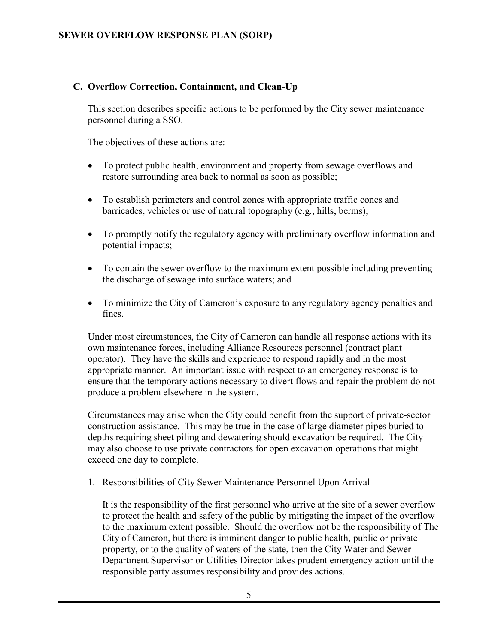### **C. Overflow Correction, Containment, and Clean-Up**

This section describes specific actions to be performed by the City sewer maintenance personnel during a SSO.

**\_\_\_\_\_\_\_\_\_\_\_\_\_\_\_\_\_\_\_\_\_\_\_\_\_\_\_\_\_\_\_\_\_\_\_\_\_\_\_\_\_\_\_\_\_\_\_\_\_\_\_\_\_\_\_\_\_\_\_\_\_\_\_\_\_\_\_\_\_\_\_\_\_\_\_\_\_\_** 

The objectives of these actions are:

- To protect public health, environment and property from sewage overflows and restore surrounding area back to normal as soon as possible;
- To establish perimeters and control zones with appropriate traffic cones and barricades, vehicles or use of natural topography (e.g., hills, berms);
- To promptly notify the regulatory agency with preliminary overflow information and potential impacts;
- To contain the sewer overflow to the maximum extent possible including preventing the discharge of sewage into surface waters; and
- To minimize the City of Cameron's exposure to any regulatory agency penalties and fines.

Under most circumstances, the City of Cameron can handle all response actions with its own maintenance forces, including Alliance Resources personnel (contract plant operator). They have the skills and experience to respond rapidly and in the most appropriate manner. An important issue with respect to an emergency response is to ensure that the temporary actions necessary to divert flows and repair the problem do not produce a problem elsewhere in the system.

Circumstances may arise when the City could benefit from the support of private-sector construction assistance. This may be true in the case of large diameter pipes buried to depths requiring sheet piling and dewatering should excavation be required. The City may also choose to use private contractors for open excavation operations that might exceed one day to complete.

1. Responsibilities of City Sewer Maintenance Personnel Upon Arrival

It is the responsibility of the first personnel who arrive at the site of a sewer overflow to protect the health and safety of the public by mitigating the impact of the overflow to the maximum extent possible. Should the overflow not be the responsibility of The City of Cameron, but there is imminent danger to public health, public or private property, or to the quality of waters of the state, then the City Water and Sewer Department Supervisor or Utilities Director takes prudent emergency action until the responsible party assumes responsibility and provides actions.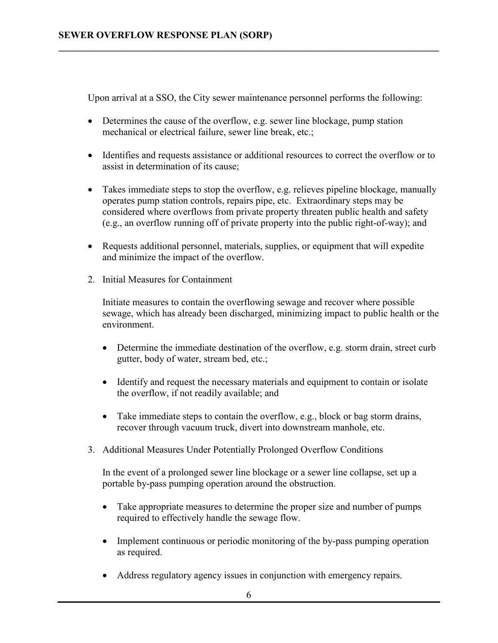Upon arrival at a SSO, the City sewer maintenance personnel performs the following:

**\_\_\_\_\_\_\_\_\_\_\_\_\_\_\_\_\_\_\_\_\_\_\_\_\_\_\_\_\_\_\_\_\_\_\_\_\_\_\_\_\_\_\_\_\_\_\_\_\_\_\_\_\_\_\_\_\_\_\_\_\_\_\_\_\_\_\_\_\_\_\_\_\_\_\_\_\_\_** 

- Determines the cause of the overflow, e.g. sewer line blockage, pump station mechanical or electrical failure, sewer line break, etc.;
- Identifies and requests assistance or additional resources to correct the overflow or to assist in determination of its cause;
- Takes immediate steps to stop the overflow, e.g. relieves pipeline blockage, manually operates pump station controls, repairs pipe, etc. Extraordinary steps may be considered where overflows from private property threaten public health and safety (e.g., an overflow running off of private property into the public right-of-way); and
- Requests additional personnel, materials, supplies, or equipment that will expedite and minimize the impact of the overflow.
- 2. Initial Measures for Containment

Initiate measures to contain the overflowing sewage and recover where possible sewage, which has already been discharged, minimizing impact to public health or the environment.

- Determine the immediate destination of the overflow, e.g. storm drain, street curb gutter, body of water, stream bed, etc.;
- Identify and request the necessary materials and equipment to contain or isolate the overflow, if not readily available; and
- Take immediate steps to contain the overflow, e.g., block or bag storm drains, recover through vacuum truck, divert into downstream manhole, etc.
- 3. Additional Measures Under Potentially Prolonged Overflow Conditions

In the event of a prolonged sewer line blockage or a sewer line collapse, set up a portable by-pass pumping operation around the obstruction.

- Take appropriate measures to determine the proper size and number of pumps required to effectively handle the sewage flow.
- Implement continuous or periodic monitoring of the by-pass pumping operation as required.
- Address regulatory agency issues in conjunction with emergency repairs.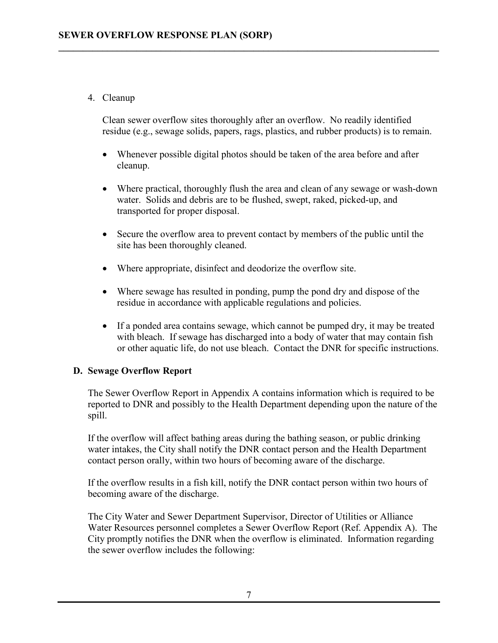### 4. Cleanup

Clean sewer overflow sites thoroughly after an overflow. No readily identified residue (e.g., sewage solids, papers, rags, plastics, and rubber products) is to remain.

**\_\_\_\_\_\_\_\_\_\_\_\_\_\_\_\_\_\_\_\_\_\_\_\_\_\_\_\_\_\_\_\_\_\_\_\_\_\_\_\_\_\_\_\_\_\_\_\_\_\_\_\_\_\_\_\_\_\_\_\_\_\_\_\_\_\_\_\_\_\_\_\_\_\_\_\_\_\_** 

- Whenever possible digital photos should be taken of the area before and after cleanup.
- Where practical, thoroughly flush the area and clean of any sewage or wash-down water. Solids and debris are to be flushed, swept, raked, picked-up, and transported for proper disposal.
- Secure the overflow area to prevent contact by members of the public until the site has been thoroughly cleaned.
- Where appropriate, disinfect and deodorize the overflow site.
- Where sewage has resulted in ponding, pump the pond dry and dispose of the residue in accordance with applicable regulations and policies.
- If a ponded area contains sewage, which cannot be pumped dry, it may be treated with bleach. If sewage has discharged into a body of water that may contain fish or other aquatic life, do not use bleach. Contact the DNR for specific instructions.

### **D. Sewage Overflow Report**

The Sewer Overflow Report in Appendix A contains information which is required to be reported to DNR and possibly to the Health Department depending upon the nature of the spill.

If the overflow will affect bathing areas during the bathing season, or public drinking water intakes, the City shall notify the DNR contact person and the Health Department contact person orally, within two hours of becoming aware of the discharge.

If the overflow results in a fish kill, notify the DNR contact person within two hours of becoming aware of the discharge.

The City Water and Sewer Department Supervisor, Director of Utilities or Alliance Water Resources personnel completes a Sewer Overflow Report (Ref. Appendix A). The City promptly notifies the DNR when the overflow is eliminated. Information regarding the sewer overflow includes the following: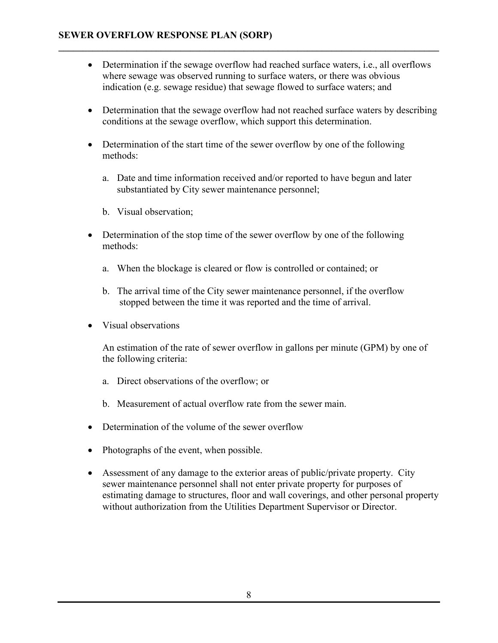• Determination if the sewage overflow had reached surface waters, i.e., all overflows where sewage was observed running to surface waters, or there was obvious indication (e.g. sewage residue) that sewage flowed to surface waters; and

**\_\_\_\_\_\_\_\_\_\_\_\_\_\_\_\_\_\_\_\_\_\_\_\_\_\_\_\_\_\_\_\_\_\_\_\_\_\_\_\_\_\_\_\_\_\_\_\_\_\_\_\_\_\_\_\_\_\_\_\_\_\_\_\_\_\_\_\_\_\_\_\_\_\_\_\_\_\_** 

- Determination that the sewage overflow had not reached surface waters by describing conditions at the sewage overflow, which support this determination.
- Determination of the start time of the sewer overflow by one of the following methods:
	- a. Date and time information received and/or reported to have begun and later substantiated by City sewer maintenance personnel;
	- b. Visual observation;
- Determination of the stop time of the sewer overflow by one of the following methods:
	- a. When the blockage is cleared or flow is controlled or contained; or
	- b. The arrival time of the City sewer maintenance personnel, if the overflow stopped between the time it was reported and the time of arrival.
- Visual observations

An estimation of the rate of sewer overflow in gallons per minute (GPM) by one of the following criteria:

- a. Direct observations of the overflow; or
- b. Measurement of actual overflow rate from the sewer main.
- Determination of the volume of the sewer overflow
- Photographs of the event, when possible.
- Assessment of any damage to the exterior areas of public/private property. City sewer maintenance personnel shall not enter private property for purposes of estimating damage to structures, floor and wall coverings, and other personal property without authorization from the Utilities Department Supervisor or Director.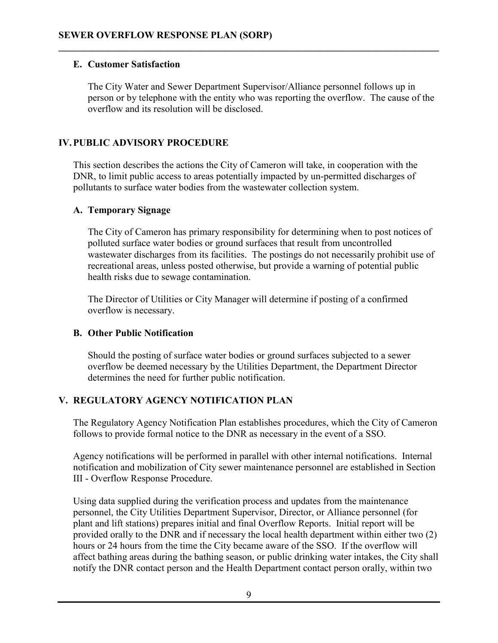### **E. Customer Satisfaction**

The City Water and Sewer Department Supervisor/Alliance personnel follows up in person or by telephone with the entity who was reporting the overflow. The cause of the overflow and its resolution will be disclosed.

**\_\_\_\_\_\_\_\_\_\_\_\_\_\_\_\_\_\_\_\_\_\_\_\_\_\_\_\_\_\_\_\_\_\_\_\_\_\_\_\_\_\_\_\_\_\_\_\_\_\_\_\_\_\_\_\_\_\_\_\_\_\_\_\_\_\_\_\_\_\_\_\_\_\_\_\_\_\_** 

### **IV.PUBLIC ADVISORY PROCEDURE**

This section describes the actions the City of Cameron will take, in cooperation with the DNR, to limit public access to areas potentially impacted by un-permitted discharges of pollutants to surface water bodies from the wastewater collection system.

### **A. Temporary Signage**

The City of Cameron has primary responsibility for determining when to post notices of polluted surface water bodies or ground surfaces that result from uncontrolled wastewater discharges from its facilities. The postings do not necessarily prohibit use of recreational areas, unless posted otherwise, but provide a warning of potential public health risks due to sewage contamination.

The Director of Utilities or City Manager will determine if posting of a confirmed overflow is necessary.

### **B. Other Public Notification**

Should the posting of surface water bodies or ground surfaces subjected to a sewer overflow be deemed necessary by the Utilities Department, the Department Director determines the need for further public notification.

### **V. REGULATORY AGENCY NOTIFICATION PLAN**

The Regulatory Agency Notification Plan establishes procedures, which the City of Cameron follows to provide formal notice to the DNR as necessary in the event of a SSO.

Agency notifications will be performed in parallel with other internal notifications. Internal notification and mobilization of City sewer maintenance personnel are established in Section III - Overflow Response Procedure.

Using data supplied during the verification process and updates from the maintenance personnel, the City Utilities Department Supervisor, Director, or Alliance personnel (for plant and lift stations) prepares initial and final Overflow Reports. Initial report will be provided orally to the DNR and if necessary the local health department within either two (2) hours or 24 hours from the time the City became aware of the SSO. If the overflow will affect bathing areas during the bathing season, or public drinking water intakes, the City shall notify the DNR contact person and the Health Department contact person orally, within two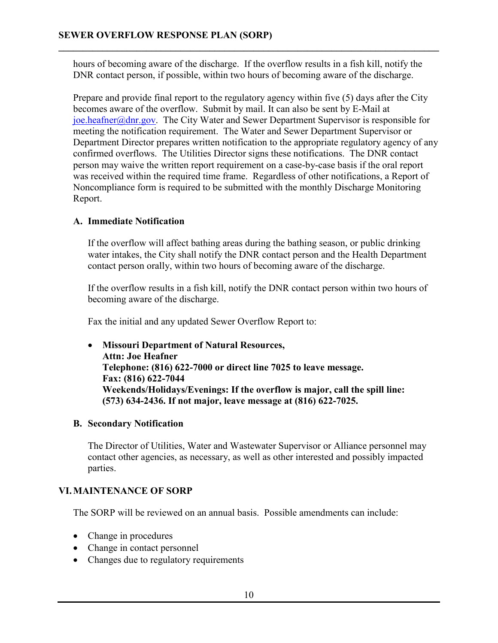hours of becoming aware of the discharge. If the overflow results in a fish kill, notify the DNR contact person, if possible, within two hours of becoming aware of the discharge.

**\_\_\_\_\_\_\_\_\_\_\_\_\_\_\_\_\_\_\_\_\_\_\_\_\_\_\_\_\_\_\_\_\_\_\_\_\_\_\_\_\_\_\_\_\_\_\_\_\_\_\_\_\_\_\_\_\_\_\_\_\_\_\_\_\_\_\_\_\_\_\_\_\_\_\_\_\_\_** 

Prepare and provide final report to the regulatory agency within five (5) days after the City becomes aware of the overflow. Submit by mail. It can also be sent by E-Mail at joe.heafner@dnr.gov. The City Water and Sewer Department Supervisor is responsible for meeting the notification requirement. The Water and Sewer Department Supervisor or Department Director prepares written notification to the appropriate regulatory agency of any confirmed overflows. The Utilities Director signs these notifications. The DNR contact person may waive the written report requirement on a case-by-case basis if the oral report was received within the required time frame. Regardless of other notifications, a Report of Noncompliance form is required to be submitted with the monthly Discharge Monitoring Report.

### **A. Immediate Notification**

If the overflow will affect bathing areas during the bathing season, or public drinking water intakes, the City shall notify the DNR contact person and the Health Department contact person orally, within two hours of becoming aware of the discharge.

If the overflow results in a fish kill, notify the DNR contact person within two hours of becoming aware of the discharge.

Fax the initial and any updated Sewer Overflow Report to:

• **Missouri Department of Natural Resources, Attn: Joe Heafner Telephone: (816) 622-7000 or direct line 7025 to leave message. Fax: (816) 622-7044 Weekends/Holidays/Evenings: If the overflow is major, call the spill line: (573) 634-2436. If not major, leave message at (816) 622-7025.** 

### **B. Secondary Notification**

The Director of Utilities, Water and Wastewater Supervisor or Alliance personnel may contact other agencies, as necessary, as well as other interested and possibly impacted parties.

### **VI.MAINTENANCE OF SORP**

The SORP will be reviewed on an annual basis. Possible amendments can include:

- Change in procedures
- Change in contact personnel
- Changes due to regulatory requirements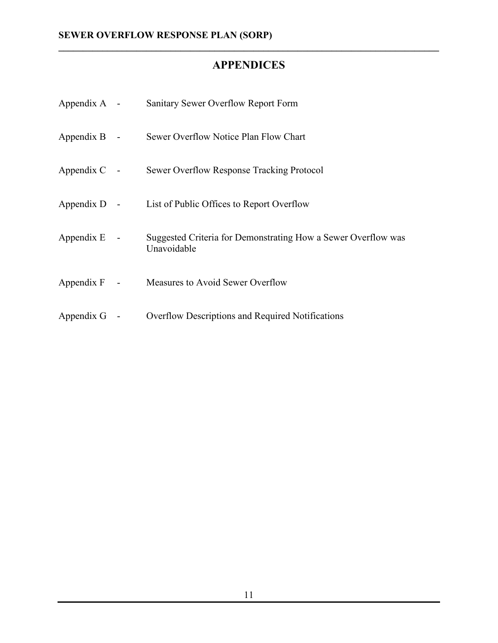## **APPENDICES**

| Appendix $A -$ | Sanitary Sewer Overflow Report Form                                          |
|----------------|------------------------------------------------------------------------------|
| Appendix $B -$ | Sewer Overflow Notice Plan Flow Chart                                        |
| Appendix $C$ - | Sewer Overflow Response Tracking Protocol                                    |
| Appendix $D -$ | List of Public Offices to Report Overflow                                    |
| Appendix $E -$ | Suggested Criteria for Demonstrating How a Sewer Overflow was<br>Unavoidable |
| Appendix $F -$ | Measures to Avoid Sewer Overflow                                             |
| Appendix $G$ - | Overflow Descriptions and Required Notifications                             |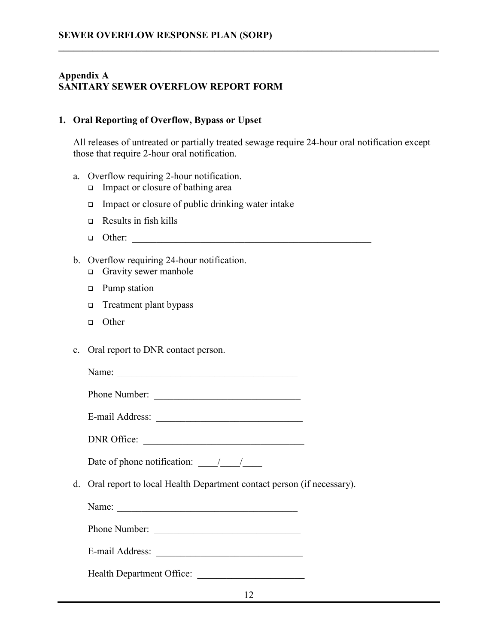### **Appendix A SANITARY SEWER OVERFLOW REPORT FORM**

### **1. Oral Reporting of Overflow, Bypass or Upset**

All releases of untreated or partially treated sewage require 24-hour oral notification except those that require 2-hour oral notification.

**\_\_\_\_\_\_\_\_\_\_\_\_\_\_\_\_\_\_\_\_\_\_\_\_\_\_\_\_\_\_\_\_\_\_\_\_\_\_\_\_\_\_\_\_\_\_\_\_\_\_\_\_\_\_\_\_\_\_\_\_\_\_\_\_\_\_\_\_\_\_\_\_\_\_\_\_\_\_** 

- a. Overflow requiring 2-hour notification.
	- $\Box$  Impact or closure of bathing area
	- $\Box$  Impact or closure of public drinking water intake
	- $\Box$  Results in fish kills
	- $\Box$  Other:
- b. Overflow requiring 24-hour notification.
	- **q** Gravity sewer manhole
	- **q** Pump station
	- $\Box$  Treatment plant bypass
	- <sup>q</sup> Other
- c. Oral report to DNR contact person.

Name: \_\_\_\_\_\_\_\_\_\_\_\_\_\_\_\_\_\_\_\_\_\_\_\_\_\_\_\_\_\_\_\_\_\_\_\_\_

Phone Number: \_\_\_\_\_\_\_\_\_\_\_\_\_\_\_\_\_\_\_\_\_\_\_\_\_\_\_\_\_\_

E-mail Address: \_\_\_\_\_\_\_\_\_\_\_\_\_\_\_\_\_\_\_\_\_\_\_\_\_\_\_\_\_\_

DNR Office:

Date of phone notification:  $\frac{1}{2}$  /

d. Oral report to local Health Department contact person (if necessary).

Name:

Phone Number: \_\_\_\_\_\_\_\_\_\_\_\_\_\_\_\_\_\_\_\_\_\_\_\_\_\_\_\_\_\_

E-mail Address: \_\_\_\_\_\_\_\_\_\_\_\_\_\_\_\_\_\_\_\_\_\_\_\_\_\_\_\_\_\_

Health Department Office: \_\_\_\_\_\_\_\_\_\_\_\_\_\_\_\_\_\_\_\_\_\_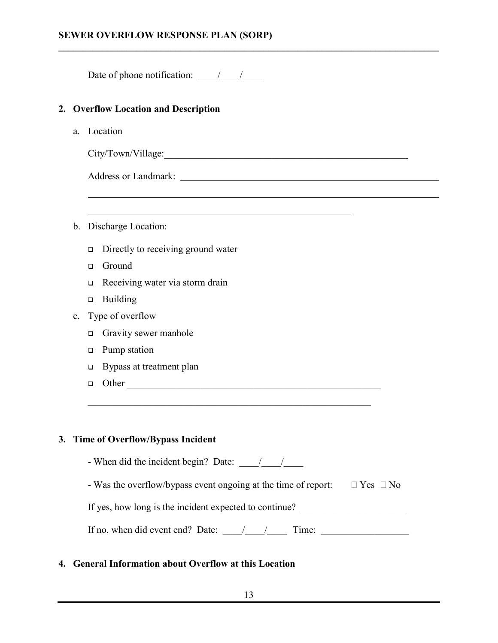### **SEWER OVERFLOW RESPONSE PLAN (SORP)**

Date of phone notification:  $\frac{1}{2}$ 

### **2. Overflow Location and Description**

a. Location

 $\overline{a}$ 

 $\overline{a}$ 

City/Town/Village:\_\_\_\_\_\_\_\_\_\_\_\_\_\_\_\_\_\_\_\_\_\_\_\_\_\_\_\_\_\_\_\_\_\_\_\_\_\_\_\_\_\_\_\_\_\_\_\_\_\_

**\_\_\_\_\_\_\_\_\_\_\_\_\_\_\_\_\_\_\_\_\_\_\_\_\_\_\_\_\_\_\_\_\_\_\_\_\_\_\_\_\_\_\_\_\_\_\_\_\_\_\_\_\_\_\_\_\_\_\_\_\_\_\_\_\_\_\_\_\_\_\_\_\_\_\_\_\_\_** 

Address or Landmark:

- b. Discharge Location:
	- $\Box$  Directly to receiving ground water
	- Ground
	- $\Box$  Receiving water via storm drain
	- $\Box$  Building
- c. Type of overflow
	- **Q** Gravity sewer manhole
	- □ Pump station
	- $\Box$  Bypass at treatment plan
	- <sup>q</sup> Other \_\_\_\_\_\_\_\_\_\_\_\_\_\_\_\_\_\_\_\_\_\_\_\_\_\_\_\_\_\_\_\_\_\_\_\_\_\_\_\_\_\_\_\_\_\_\_\_\_\_\_\_

### **3. Time of Overflow/Bypass Incident**

- When did the incident begin? Date:  $\frac{\sqrt{2}}{2}$
- Was the overflow/bypass event ongoing at the time of report: Yes No

If yes, how long is the incident expected to continue?

 $\_$  , and the set of the set of the set of the set of the set of the set of the set of the set of the set of the set of the set of the set of the set of the set of the set of the set of the set of the set of the set of th

| If no, when did event end? Date: |  | 1 ime: |  |
|----------------------------------|--|--------|--|
|                                  |  |        |  |

### **4. General Information about Overflow at this Location**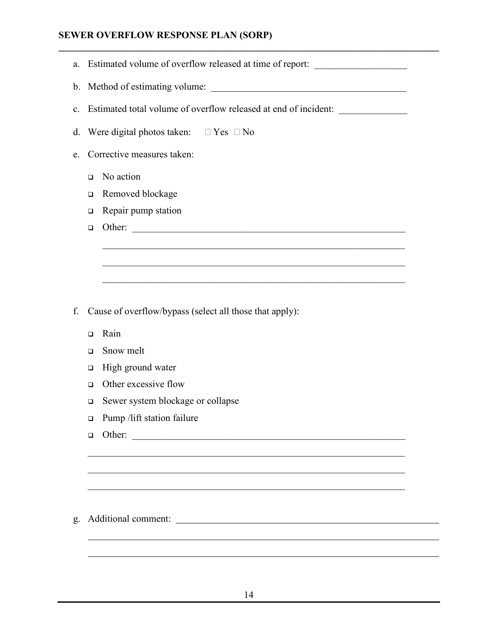### **SEWER OVERFLOW RESPONSE PLAN (SORP)**

|                                                                       |                                                             | Estimated volume of overflow released at time of report: _______________________                                    |  |  |
|-----------------------------------------------------------------------|-------------------------------------------------------------|---------------------------------------------------------------------------------------------------------------------|--|--|
|                                                                       |                                                             |                                                                                                                     |  |  |
| Estimated total volume of overflow released at end of incident:<br>c. |                                                             |                                                                                                                     |  |  |
| Were digital photos taken: Yes<br>N <sub>0</sub><br>d.                |                                                             |                                                                                                                     |  |  |
| Corrective measures taken:<br>e.                                      |                                                             |                                                                                                                     |  |  |
| No action<br>$\Box$                                                   |                                                             |                                                                                                                     |  |  |
| ▫                                                                     |                                                             |                                                                                                                     |  |  |
| □                                                                     |                                                             |                                                                                                                     |  |  |
| $\Box$                                                                |                                                             |                                                                                                                     |  |  |
|                                                                       |                                                             | <u> 1990 - 1990 - 1990 - 1990 - 1990 - 1990 - 1990 - 1990 - 1990 - 1990 - 1990 - 1990 - 1990 - 1990 - 1990 - 19</u> |  |  |
|                                                                       |                                                             |                                                                                                                     |  |  |
|                                                                       |                                                             |                                                                                                                     |  |  |
|                                                                       |                                                             |                                                                                                                     |  |  |
|                                                                       |                                                             |                                                                                                                     |  |  |
|                                                                       |                                                             |                                                                                                                     |  |  |
| Rain<br>$\Box$                                                        |                                                             |                                                                                                                     |  |  |
| Snow melt<br>$\Box$                                                   |                                                             |                                                                                                                     |  |  |
| High ground water<br>□                                                |                                                             |                                                                                                                     |  |  |
| Other excessive flow<br>◻                                             |                                                             |                                                                                                                     |  |  |
| □                                                                     | Sewer system blockage or collapse                           |                                                                                                                     |  |  |
| Pump /lift station failure<br>$\Box$                                  |                                                             |                                                                                                                     |  |  |
| Other:<br>$\Box$                                                      | <u> 1989 - Johann Harry Barn, margaret amerikan basal (</u> |                                                                                                                     |  |  |
|                                                                       |                                                             |                                                                                                                     |  |  |
|                                                                       |                                                             |                                                                                                                     |  |  |
|                                                                       |                                                             |                                                                                                                     |  |  |
|                                                                       |                                                             |                                                                                                                     |  |  |
|                                                                       |                                                             |                                                                                                                     |  |  |
|                                                                       |                                                             |                                                                                                                     |  |  |
|                                                                       |                                                             | Removed blockage<br>Repair pump station<br>Other:<br>Cause of overflow/bypass (select all those that apply):        |  |  |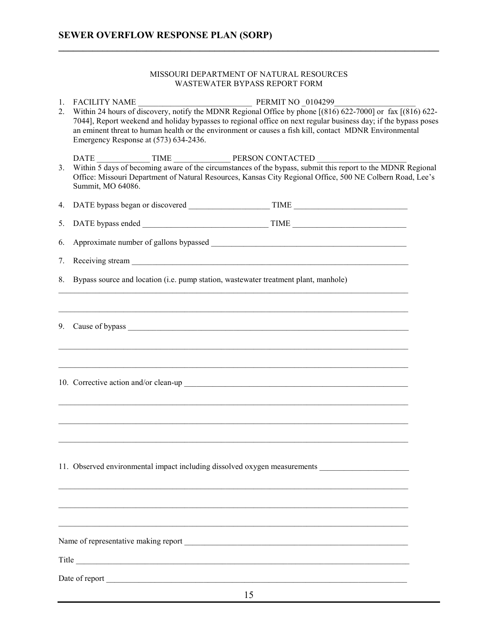#### MISSOURI DEPARTMENT OF NATURAL RESOURCES WASTEWATER BYPASS REPORT FORM

| 1.<br>2. | PERMIT NO 0104299<br><b>FACILITY NAME</b><br>FACILITY NAME PERMIT NO _0104299<br>Within 24 hours of discovery, notify the MDNR Regional Office by phone [(816) 622-7000] or fax [(816) 622-<br>7044], Report weekend and holiday bypasses to regional office on next regular business day; if the bypass poses<br>an eminent threat to human health or the environment or causes a fish kill, contact MDNR Environmental<br>Emergency Response at (573) 634-2436. |                                                                                                                                                                                                                                  |  |
|----------|-------------------------------------------------------------------------------------------------------------------------------------------------------------------------------------------------------------------------------------------------------------------------------------------------------------------------------------------------------------------------------------------------------------------------------------------------------------------|----------------------------------------------------------------------------------------------------------------------------------------------------------------------------------------------------------------------------------|--|
| 3.       | Summit, MO 64086.                                                                                                                                                                                                                                                                                                                                                                                                                                                 | DATE<br>Within 5 days of becoming aware of the circumstances of the bypass, submit this report to the MDNR Regional<br>Office: Missouri Department of Natural Resources, Kansas City Regional Office, 500 NE Colbern Road, Lee's |  |
| 4.       |                                                                                                                                                                                                                                                                                                                                                                                                                                                                   |                                                                                                                                                                                                                                  |  |
| 5.       |                                                                                                                                                                                                                                                                                                                                                                                                                                                                   |                                                                                                                                                                                                                                  |  |
| 6.       |                                                                                                                                                                                                                                                                                                                                                                                                                                                                   |                                                                                                                                                                                                                                  |  |
| 7.       |                                                                                                                                                                                                                                                                                                                                                                                                                                                                   |                                                                                                                                                                                                                                  |  |
| 8.       | Bypass source and location (i.e. pump station, was tewater treatment plant, manhole)                                                                                                                                                                                                                                                                                                                                                                              |                                                                                                                                                                                                                                  |  |
|          |                                                                                                                                                                                                                                                                                                                                                                                                                                                                   |                                                                                                                                                                                                                                  |  |
|          |                                                                                                                                                                                                                                                                                                                                                                                                                                                                   |                                                                                                                                                                                                                                  |  |
|          |                                                                                                                                                                                                                                                                                                                                                                                                                                                                   |                                                                                                                                                                                                                                  |  |
|          |                                                                                                                                                                                                                                                                                                                                                                                                                                                                   | 11. Observed environmental impact including dissolved oxygen measurements                                                                                                                                                        |  |
|          |                                                                                                                                                                                                                                                                                                                                                                                                                                                                   | ,我们也不能在这里的人,我们也不能在这里的人,我们也不能在这里的人,我们也不能在这里的人,我们也不能在这里的人,我们也不能在这里的人,我们也不能在这里的人,我们也                                                                                                                                                |  |
|          |                                                                                                                                                                                                                                                                                                                                                                                                                                                                   |                                                                                                                                                                                                                                  |  |
|          |                                                                                                                                                                                                                                                                                                                                                                                                                                                                   |                                                                                                                                                                                                                                  |  |
|          |                                                                                                                                                                                                                                                                                                                                                                                                                                                                   |                                                                                                                                                                                                                                  |  |
|          |                                                                                                                                                                                                                                                                                                                                                                                                                                                                   |                                                                                                                                                                                                                                  |  |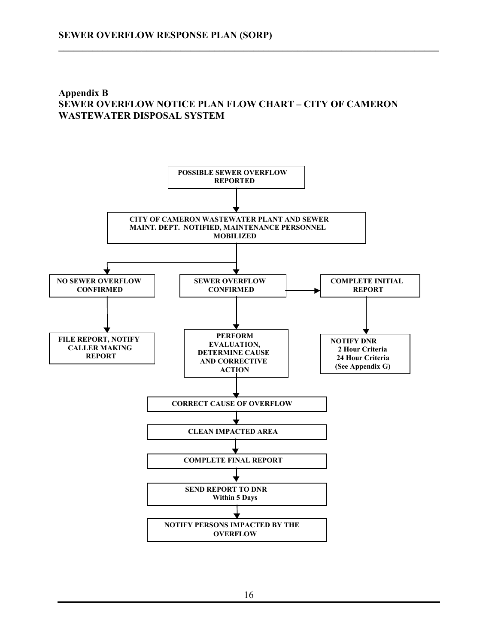### **Appendix B SEWER OVERFLOW NOTICE PLAN FLOW CHART – CITY OF CAMERON WASTEWATER DISPOSAL SYSTEM**

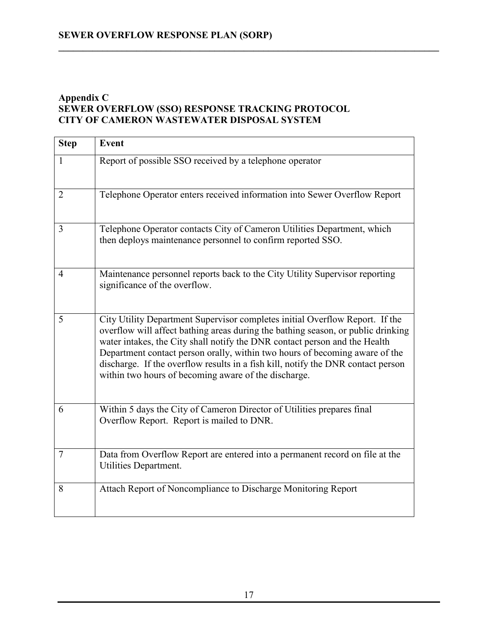### **Appendix C SEWER OVERFLOW (SSO) RESPONSE TRACKING PROTOCOL CITY OF CAMERON WASTEWATER DISPOSAL SYSTEM**

| <b>Step</b>    | <b>Event</b>                                                                                                                                                                                                                                                                                                                                                                                                                                                              |
|----------------|---------------------------------------------------------------------------------------------------------------------------------------------------------------------------------------------------------------------------------------------------------------------------------------------------------------------------------------------------------------------------------------------------------------------------------------------------------------------------|
| $\mathbf{1}$   | Report of possible SSO received by a telephone operator                                                                                                                                                                                                                                                                                                                                                                                                                   |
| 2              | Telephone Operator enters received information into Sewer Overflow Report                                                                                                                                                                                                                                                                                                                                                                                                 |
| 3              | Telephone Operator contacts City of Cameron Utilities Department, which<br>then deploys maintenance personnel to confirm reported SSO.                                                                                                                                                                                                                                                                                                                                    |
| 4              | Maintenance personnel reports back to the City Utility Supervisor reporting<br>significance of the overflow.                                                                                                                                                                                                                                                                                                                                                              |
| 5              | City Utility Department Supervisor completes initial Overflow Report. If the<br>overflow will affect bathing areas during the bathing season, or public drinking<br>water intakes, the City shall notify the DNR contact person and the Health<br>Department contact person orally, within two hours of becoming aware of the<br>discharge. If the overflow results in a fish kill, notify the DNR contact person<br>within two hours of becoming aware of the discharge. |
| 6              | Within 5 days the City of Cameron Director of Utilities prepares final<br>Overflow Report. Report is mailed to DNR.                                                                                                                                                                                                                                                                                                                                                       |
| $\overline{7}$ | Data from Overflow Report are entered into a permanent record on file at the<br>Utilities Department.                                                                                                                                                                                                                                                                                                                                                                     |
| 8              | Attach Report of Noncompliance to Discharge Monitoring Report                                                                                                                                                                                                                                                                                                                                                                                                             |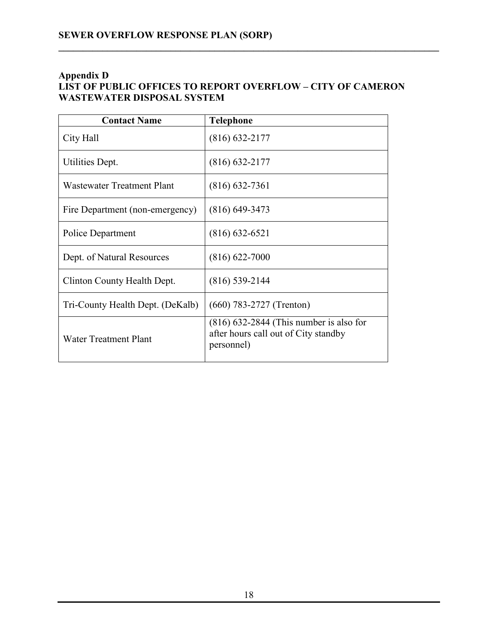### **Appendix D LIST OF PUBLIC OFFICES TO REPORT OVERFLOW – CITY OF CAMERON WASTEWATER DISPOSAL SYSTEM**

| <b>Contact Name</b>               | <b>Telephone</b>                                                                                |
|-----------------------------------|-------------------------------------------------------------------------------------------------|
| City Hall                         | $(816)$ 632-2177                                                                                |
| Utilities Dept.                   | $(816)$ 632-2177                                                                                |
| <b>Wastewater Treatment Plant</b> | $(816)$ 632-7361                                                                                |
| Fire Department (non-emergency)   | $(816)$ 649-3473                                                                                |
| Police Department                 | $(816)$ 632-6521                                                                                |
| Dept. of Natural Resources        | $(816) 622 - 7000$                                                                              |
| Clinton County Health Dept.       | $(816)$ 539-2144                                                                                |
| Tri-County Health Dept. (DeKalb)  | $(660)$ 783-2727 (Trenton)                                                                      |
| Water Treatment Plant             | $(816)$ 632-2844 (This number is also for<br>after hours call out of City standby<br>personnel) |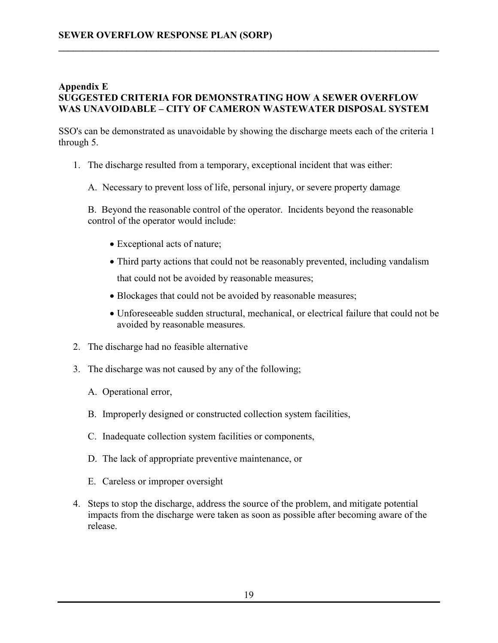### **Appendix E SUGGESTED CRITERIA FOR DEMONSTRATING HOW A SEWER OVERFLOW WAS UNAVOIDABLE – CITY OF CAMERON WASTEWATER DISPOSAL SYSTEM**

**\_\_\_\_\_\_\_\_\_\_\_\_\_\_\_\_\_\_\_\_\_\_\_\_\_\_\_\_\_\_\_\_\_\_\_\_\_\_\_\_\_\_\_\_\_\_\_\_\_\_\_\_\_\_\_\_\_\_\_\_\_\_\_\_\_\_\_\_\_\_\_\_\_\_\_\_\_\_** 

SSO's can be demonstrated as unavoidable by showing the discharge meets each of the criteria 1 through 5.

- 1. The discharge resulted from a temporary, exceptional incident that was either:
	- A. Necessary to prevent loss of life, personal injury, or severe property damage

B. Beyond the reasonable control of the operator. Incidents beyond the reasonable control of the operator would include:

- Exceptional acts of nature;
- Third party actions that could not be reasonably prevented, including vandalism that could not be avoided by reasonable measures;
- Blockages that could not be avoided by reasonable measures;
- Unforeseeable sudden structural, mechanical, or electrical failure that could not be avoided by reasonable measures.
- 2. The discharge had no feasible alternative
- 3. The discharge was not caused by any of the following;
	- A. Operational error,
	- B. Improperly designed or constructed collection system facilities,
	- C. Inadequate collection system facilities or components,
	- D. The lack of appropriate preventive maintenance, or
	- E. Careless or improper oversight
- 4. Steps to stop the discharge, address the source of the problem, and mitigate potential impacts from the discharge were taken as soon as possible after becoming aware of the release.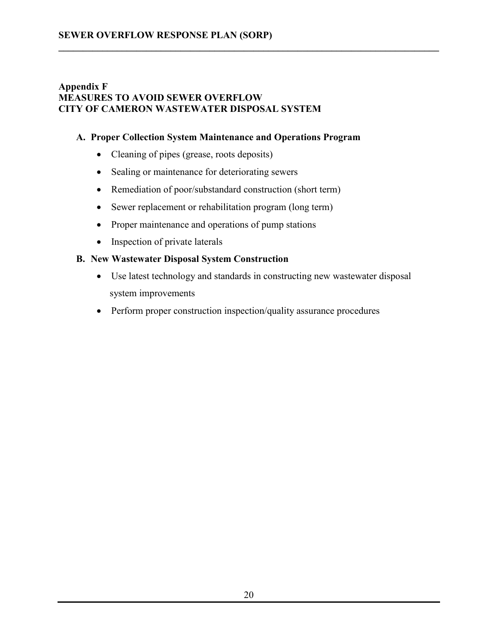### **Appendix F MEASURES TO AVOID SEWER OVERFLOW CITY OF CAMERON WASTEWATER DISPOSAL SYSTEM**

### **A. Proper Collection System Maintenance and Operations Program**

**\_\_\_\_\_\_\_\_\_\_\_\_\_\_\_\_\_\_\_\_\_\_\_\_\_\_\_\_\_\_\_\_\_\_\_\_\_\_\_\_\_\_\_\_\_\_\_\_\_\_\_\_\_\_\_\_\_\_\_\_\_\_\_\_\_\_\_\_\_\_\_\_\_\_\_\_\_\_** 

- Cleaning of pipes (grease, roots deposits)
- Sealing or maintenance for deteriorating sewers
- Remediation of poor/substandard construction (short term)
- Sewer replacement or rehabilitation program (long term)
- Proper maintenance and operations of pump stations
- Inspection of private laterals

### **B. New Wastewater Disposal System Construction**

- Use latest technology and standards in constructing new wastewater disposal system improvements
- Perform proper construction inspection/quality assurance procedures